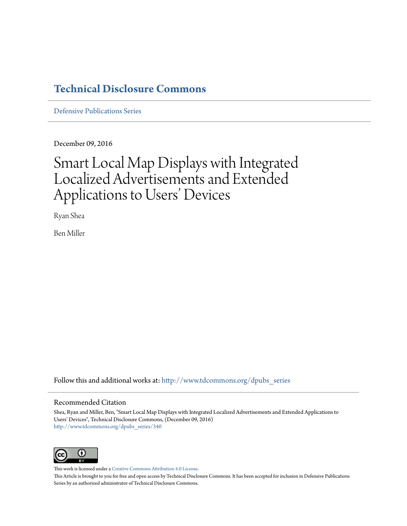## **[Technical Disclosure Commons](http://www.tdcommons.org?utm_source=www.tdcommons.org%2Fdpubs_series%2F340&utm_medium=PDF&utm_campaign=PDFCoverPages)**

[Defensive Publications Series](http://www.tdcommons.org/dpubs_series?utm_source=www.tdcommons.org%2Fdpubs_series%2F340&utm_medium=PDF&utm_campaign=PDFCoverPages)

December 09, 2016

# Smart Local Map Displays with Integrated Localized Advertisements and Extended Applications to Users' Devices

Ryan Shea

Ben Miller

Follow this and additional works at: [http://www.tdcommons.org/dpubs\\_series](http://www.tdcommons.org/dpubs_series?utm_source=www.tdcommons.org%2Fdpubs_series%2F340&utm_medium=PDF&utm_campaign=PDFCoverPages)

#### Recommended Citation

Shea, Ryan and Miller, Ben, "Smart Local Map Displays with Integrated Localized Advertisements and Extended Applications to Users' Devices", Technical Disclosure Commons, (December 09, 2016) [http://www.tdcommons.org/dpubs\\_series/340](http://www.tdcommons.org/dpubs_series/340?utm_source=www.tdcommons.org%2Fdpubs_series%2F340&utm_medium=PDF&utm_campaign=PDFCoverPages)



This work is licensed under a [Creative Commons Attribution 4.0 License.](http://creativecommons.org/licenses/by/4.0/deed.en_US)

This Article is brought to you for free and open access by Technical Disclosure Commons. It has been accepted for inclusion in Defensive Publications Series by an authorized administrator of Technical Disclosure Commons.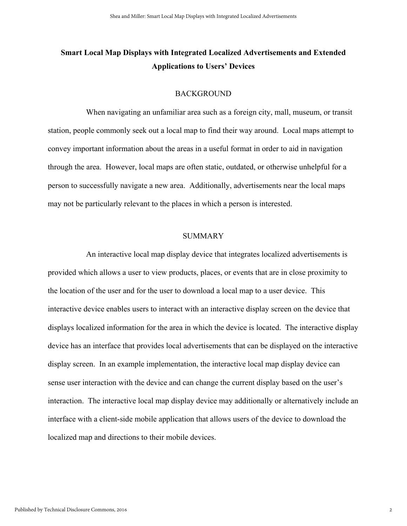### **Smart Local Map Displays with Integrated Localized Advertisements and Extended Applications to Users' Devices**

#### BACKGROUND

When navigating an unfamiliar area such as a foreign city, mall, museum, or transit station, people commonly seek out a local map to find their way around. Local maps attempt to convey important information about the areas in a useful format in order to aid in navigation through the area. However, local maps are often static, outdated, or otherwise unhelpful for a person to successfully navigate a new area. Additionally, advertisements near the local maps may not be particularly relevant to the places in which a person is interested.

#### SUMMARY

An interactive local map display device that integrates localized advertisements is provided which allows a user to view products, places, or events that are in close proximity to the location of the user and for the user to download a local map to a user device. This interactive device enables users to interact with an interactive display screen on the device that displays localized information for the area in which the device is located. The interactive display device has an interface that provides local advertisements that can be displayed on the interactive display screen. In an example implementation, the interactive local map display device can sense user interaction with the device and can change the current display based on the user's interaction. The interactive local map display device may additionally or alternatively include an interface with a client-side mobile application that allows users of the device to download the localized map and directions to their mobile devices.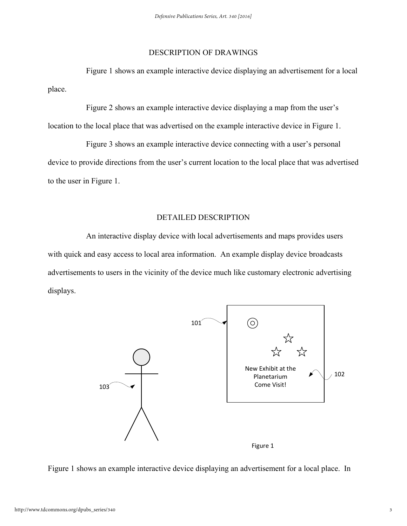#### DESCRIPTION OF DRAWINGS

Figure 1 shows an example interactive device displaying an advertisement for a local place.

Figure 2 shows an example interactive device displaying a map from the user's

location to the local place that was advertised on the example interactive device in Figure 1.

Figure 3 shows an example interactive device connecting with a user's personal device to provide directions from the user's current location to the local place that was advertised to the user in Figure 1.

#### DETAILED DESCRIPTION

An interactive display device with local advertisements and maps provides users with quick and easy access to local area information. An example display device broadcasts advertisements to users in the vicinity of the device much like customary electronic advertising displays.



Figure 1 shows an example interactive device displaying an advertisement for a local place. In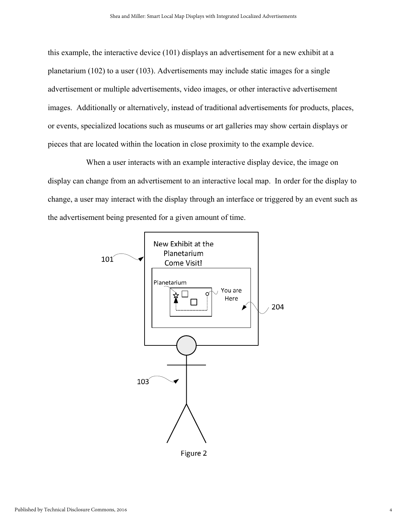this example, the interactive device (101) displays an advertisement for a new exhibit at a planetarium (102) to a user (103). Advertisements may include static images for a single advertisement or multiple advertisements, video images, or other interactive advertisement images. Additionally or alternatively, instead of traditional advertisements for products, places, or events, specialized locations such as museums or art galleries may show certain displays or pieces that are located within the location in close proximity to the example device.

When a user interacts with an example interactive display device, the image on display can change from an advertisement to an interactive local map. In order for the display to change, a user may interact with the display through an interface or triggered by an event such as the advertisement being presented for a given amount of time.

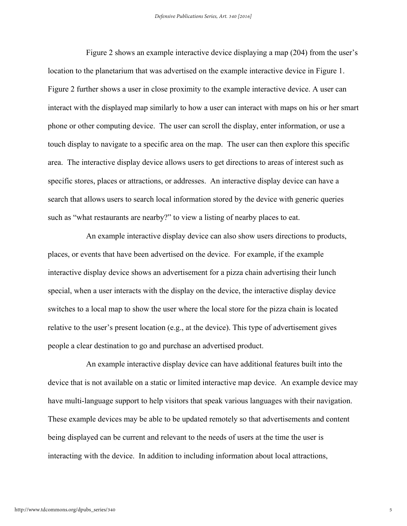Figure 2 shows an example interactive device displaying a map (204) from the user's location to the planetarium that was advertised on the example interactive device in Figure 1. Figure 2 further shows a user in close proximity to the example interactive device. A user can interact with the displayed map similarly to how a user can interact with maps on his or her smart phone or other computing device. The user can scroll the display, enter information, or use a touch display to navigate to a specific area on the map. The user can then explore this specific area. The interactive display device allows users to get directions to areas of interest such as specific stores, places or attractions, or addresses. An interactive display device can have a search that allows users to search local information stored by the device with generic queries such as "what restaurants are nearby?" to view a listing of nearby places to eat.

An example interactive display device can also show users directions to products, places, or events that have been advertised on the device. For example, if the example interactive display device shows an advertisement for a pizza chain advertising their lunch special, when a user interacts with the display on the device, the interactive display device switches to a local map to show the user where the local store for the pizza chain is located relative to the user's present location (e.g., at the device). This type of advertisement gives people a clear destination to go and purchase an advertised product.

An example interactive display device can have additional features built into the device that is not available on a static or limited interactive map device. An example device may have multi-language support to help visitors that speak various languages with their navigation. These example devices may be able to be updated remotely so that advertisements and content being displayed can be current and relevant to the needs of users at the time the user is interacting with the device. In addition to including information about local attractions,

5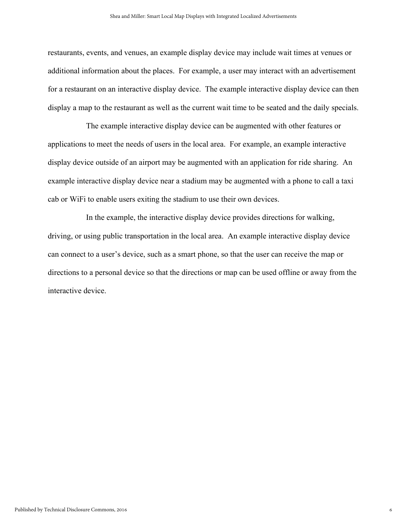restaurants, events, and venues, an example display device may include wait times at venues or additional information about the places. For example, a user may interact with an advertisement for a restaurant on an interactive display device. The example interactive display device can then display a map to the restaurant as well as the current wait time to be seated and the daily specials.

The example interactive display device can be augmented with other features or applications to meet the needs of users in the local area. For example, an example interactive display device outside of an airport may be augmented with an application for ride sharing. An example interactive display device near a stadium may be augmented with a phone to call a taxi cab or WiFi to enable users exiting the stadium to use their own devices.

In the example, the interactive display device provides directions for walking, driving, or using public transportation in the local area. An example interactive display device can connect to a user's device, such as a smart phone, so that the user can receive the map or directions to a personal device so that the directions or map can be used offline or away from the interactive device.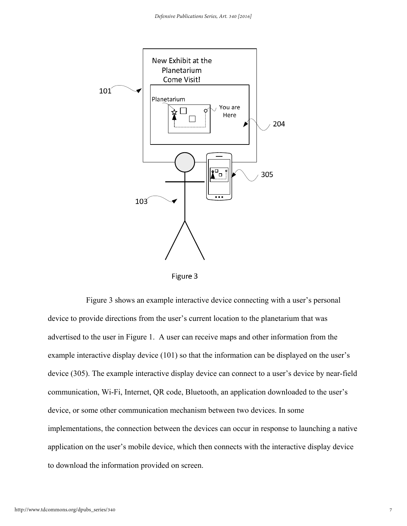

Figure 3

Figure 3 shows an example interactive device connecting with a user's personal device to provide directions from the user's current location to the planetarium that was advertised to the user in Figure 1. A user can receive maps and other information from the example interactive display device (101) so that the information can be displayed on the user's device (305). The example interactive display device can connect to a user's device by near-field communication, Wi-Fi, Internet, QR code, Bluetooth, an application downloaded to the user's device, or some other communication mechanism between two devices. In some implementations, the connection between the devices can occur in response to launching a native application on the user's mobile device, which then connects with the interactive display device to download the information provided on screen.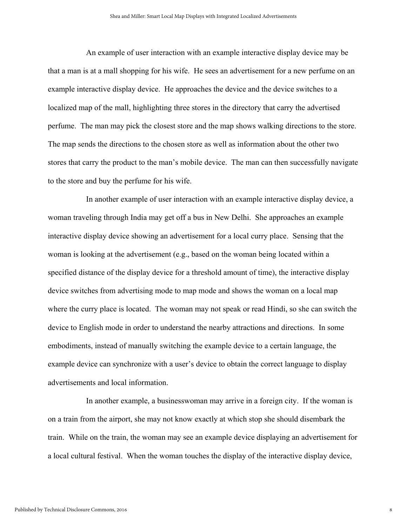An example of user interaction with an example interactive display device may be that a man is at a mall shopping for his wife. He sees an advertisement for a new perfume on an example interactive display device. He approaches the device and the device switches to a localized map of the mall, highlighting three stores in the directory that carry the advertised perfume. The man may pick the closest store and the map shows walking directions to the store. The map sends the directions to the chosen store as well as information about the other two stores that carry the product to the man's mobile device. The man can then successfully navigate to the store and buy the perfume for his wife.

In another example of user interaction with an example interactive display device, a woman traveling through India may get off a bus in New Delhi. She approaches an example interactive display device showing an advertisement for a local curry place. Sensing that the woman is looking at the advertisement (e.g., based on the woman being located within a specified distance of the display device for a threshold amount of time), the interactive display device switches from advertising mode to map mode and shows the woman on a local map where the curry place is located. The woman may not speak or read Hindi, so she can switch the device to English mode in order to understand the nearby attractions and directions. In some embodiments, instead of manually switching the example device to a certain language, the example device can synchronize with a user's device to obtain the correct language to display advertisements and local information.

In another example, a businesswoman may arrive in a foreign city. If the woman is on a train from the airport, she may not know exactly at which stop she should disembark the train. While on the train, the woman may see an example device displaying an advertisement for a local cultural festival. When the woman touches the display of the interactive display device,

8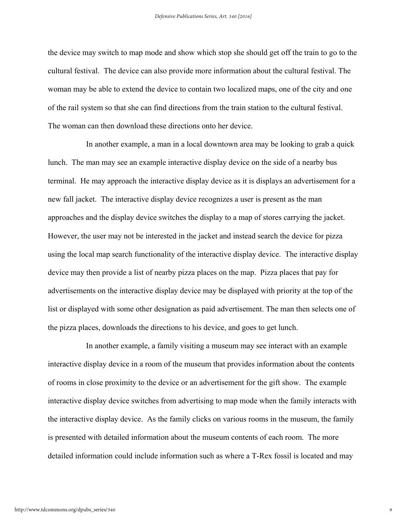the device may switch to map mode and show which stop she should get off the train to go to the cultural festival. The device can also provide more information about the cultural festival. The woman may be able to extend the device to contain two localized maps, one of the city and one of the rail system so that she can find directions from the train station to the cultural festival. The woman can then download these directions onto her device.

In another example, a man in a local downtown area may be looking to grab a quick lunch. The man may see an example interactive display device on the side of a nearby bus terminal. He may approach the interactive display device as it is displays an advertisement for a new fall jacket. The interactive display device recognizes a user is present as the man approaches and the display device switches the display to a map of stores carrying the jacket. However, the user may not be interested in the jacket and instead search the device for pizza using the local map search functionality of the interactive display device. The interactive display device may then provide a list of nearby pizza places on the map. Pizza places that pay for advertisements on the interactive display device may be displayed with priority at the top of the list or displayed with some other designation as paid advertisement. The man then selects one of the pizza places, downloads the directions to his device, and goes to get lunch.

In another example, a family visiting a museum may see interact with an example interactive display device in a room of the museum that provides information about the contents of rooms in close proximity to the device or an advertisement for the gift show. The example interactive display device switches from advertising to map mode when the family interacts with the interactive display device. As the family clicks on various rooms in the museum, the family is presented with detailed information about the museum contents of each room. The more detailed information could include information such as where a T-Rex fossil is located and may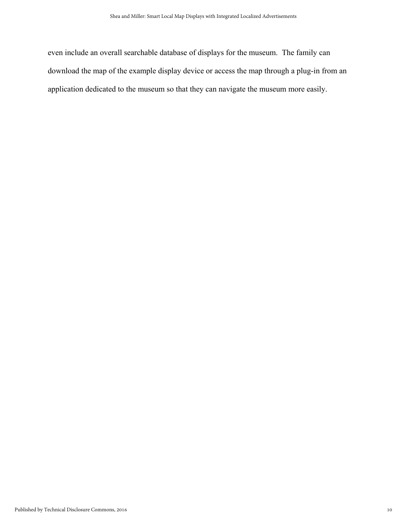even include an overall searchable database of displays for the museum. The family can download the map of the example display device or access the map through a plug-in from an application dedicated to the museum so that they can navigate the museum more easily.